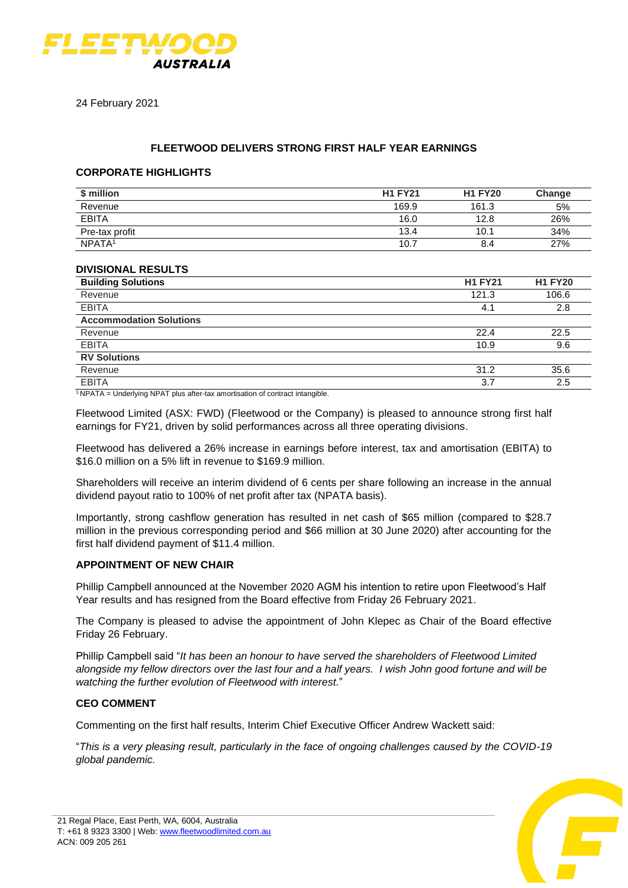

24 February 2021

# **FLEETWOOD DELIVERS STRONG FIRST HALF YEAR EARNINGS**

#### **CORPORATE HIGHLIGHTS**

| \$ million         | <b>H1 FY21</b> | <b>H1 FY20</b> | Change |
|--------------------|----------------|----------------|--------|
| Revenue            | 169.9          | 161.3          | 5%     |
| <b>EBITA</b>       | 16.0           | 12.8           | 26%    |
| Pre-tax profit     | 13.4           | 10.1           | 34%    |
| NPATA <sup>1</sup> | 10.7           | 8.4            | 27%    |

## **DIVISIONAL RESULTS**

| <b>Building Solutions</b>                                                                                                                                                                                                                                          | <b>H1 FY21</b> | <b>H1 FY20</b> |
|--------------------------------------------------------------------------------------------------------------------------------------------------------------------------------------------------------------------------------------------------------------------|----------------|----------------|
| Revenue                                                                                                                                                                                                                                                            | 121.3          | 106.6          |
| <b>EBITA</b>                                                                                                                                                                                                                                                       | 4.1            | 2.8            |
| <b>Accommodation Solutions</b>                                                                                                                                                                                                                                     |                |                |
| Revenue                                                                                                                                                                                                                                                            | 22.4           | 22.5           |
| <b>EBITA</b>                                                                                                                                                                                                                                                       | 10.9           | 9.6            |
| <b>RV Solutions</b>                                                                                                                                                                                                                                                |                |                |
| Revenue                                                                                                                                                                                                                                                            | 31.2           | 35.6           |
| <b>EBITA</b>                                                                                                                                                                                                                                                       | 3.7            | 2.5            |
| $1.11 - 1.11 - 1.11 - 1.11 - 1.11 - 1.11 - 1.11 - 1.11 - 1.11 - 1.11 - 1.11 - 1.11 - 1.11 - 1.11 - 1.11 - 1.11 - 1.11 - 1.11 - 1.11 - 1.11 - 1.11 - 1.11 - 1.11 - 1.11 - 1.11 - 1.11 - 1.11 - 1.11 - 1.11 - 1.11 - 1.11 - 1.11 - 1.11 - 1.11 - 1.11 - 1.11 - 1.11$ |                |                |

 $1$ <sub>NPATA</sub> = Underlying NPAT plus after-tax amortisation of contract intangible.

Fleetwood Limited (ASX: FWD) (Fleetwood or the Company) is pleased to announce strong first half earnings for FY21, driven by solid performances across all three operating divisions.

Fleetwood has delivered a 26% increase in earnings before interest, tax and amortisation (EBITA) to \$16.0 million on a 5% lift in revenue to \$169.9 million.

Shareholders will receive an interim dividend of 6 cents per share following an increase in the annual dividend payout ratio to 100% of net profit after tax (NPATA basis).

Importantly, strong cashflow generation has resulted in net cash of \$65 million (compared to \$28.7 million in the previous corresponding period and \$66 million at 30 June 2020) after accounting for the first half dividend payment of \$11.4 million.

### **APPOINTMENT OF NEW CHAIR**

Phillip Campbell announced at the November 2020 AGM his intention to retire upon Fleetwood's Half Year results and has resigned from the Board effective from Friday 26 February 2021.

The Company is pleased to advise the appointment of John Klepec as Chair of the Board effective Friday 26 February.

Phillip Campbell said "*It has been an honour to have served the shareholders of Fleetwood Limited alongside my fellow directors over the last four and a half years. I wish John good fortune and will be watching the further evolution of Fleetwood with interest.*"

### **CEO COMMENT**

Commenting on the first half results, Interim Chief Executive Officer Andrew Wackett said:

"*This is a very pleasing result, particularly in the face of ongoing challenges caused by the COVID-19 global pandemic.*